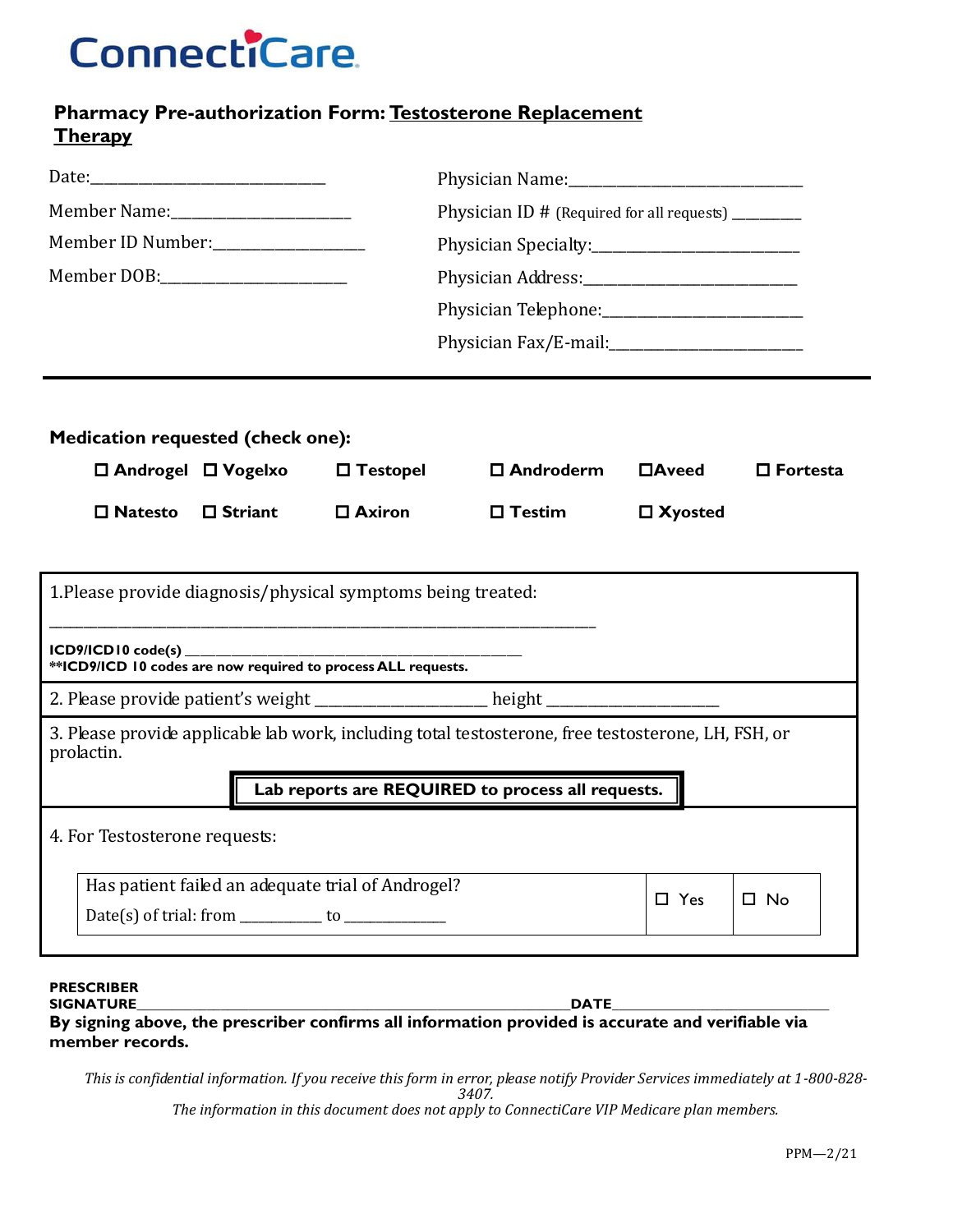## **ConnectiCare**

### **Pharmacy Pre-authorization Form: Testosterone Replacement Therapy**

|                                                                                                                   |                |                    | Physician ID # (Required for all requests) _________ |                 |                    |  |  |  |
|-------------------------------------------------------------------------------------------------------------------|----------------|--------------------|------------------------------------------------------|-----------------|--------------------|--|--|--|
| Member ID Number:____________________                                                                             |                |                    |                                                      |                 |                    |  |  |  |
|                                                                                                                   |                |                    |                                                      |                 |                    |  |  |  |
|                                                                                                                   |                |                    | Physician Telephone: 2008                            |                 |                    |  |  |  |
|                                                                                                                   |                |                    |                                                      |                 |                    |  |  |  |
|                                                                                                                   |                |                    |                                                      |                 |                    |  |  |  |
| <b>Medication requested (check one):</b>                                                                          |                |                    |                                                      |                 |                    |  |  |  |
| $\Box$ Androgel $\Box$ Vogelxo                                                                                    |                | $\square$ Testopel | $\square$ Androderm                                  | $\square$ Aveed | $\square$ Fortesta |  |  |  |
| $\square$ Natesto                                                                                                 | $\Box$ Striant | $\square$ Axiron   | $\square$ Testim                                     | $\Box$ Xyosted  |                    |  |  |  |
| 1. Please provide diagnosis/physical symptoms being treated:                                                      |                |                    |                                                      |                 |                    |  |  |  |
|                                                                                                                   |                |                    |                                                      |                 |                    |  |  |  |
| 2. Please provide patient's weight __________________ height ___________________                                  |                |                    |                                                      |                 |                    |  |  |  |
| 3. Please provide applicable lab work, including total testosterone, free testosterone, LH, FSH, or<br>prolactin. |                |                    |                                                      |                 |                    |  |  |  |
| Lab reports are REQUIRED to process all requests.                                                                 |                |                    |                                                      |                 |                    |  |  |  |
| 4. For Testosterone requests:                                                                                     |                |                    |                                                      |                 |                    |  |  |  |
| Has patient failed an adequate trial of Androgel?                                                                 |                |                    |                                                      |                 |                    |  |  |  |
|                                                                                                                   |                |                    | $\square$ Yes                                        | $\square$ No    |                    |  |  |  |
| DDEC⁄DIDED                                                                                                        |                |                    |                                                      |                 |                    |  |  |  |

#### **PRESCRIBER SIGNATURE\_\_\_\_\_\_\_\_\_\_\_\_\_\_\_\_\_\_\_\_\_\_\_\_\_\_\_\_\_\_\_\_\_\_\_\_\_\_\_\_\_\_\_\_\_\_\_\_\_\_\_\_\_\_\_\_\_\_\_\_\_\_DATE\_\_\_\_\_\_\_\_\_\_\_\_\_\_\_\_\_\_\_\_\_\_\_\_\_\_\_\_\_\_\_**

**By signing above, the prescriber confirms all information provided is accurate and verifiable via member records.**

*This is confidential information. If you receive this form in error, please notify Provider Services immediately at 1-800-828- 3407.*

*The information in this document does not apply to ConnectiCare VIP Medicare plan members.*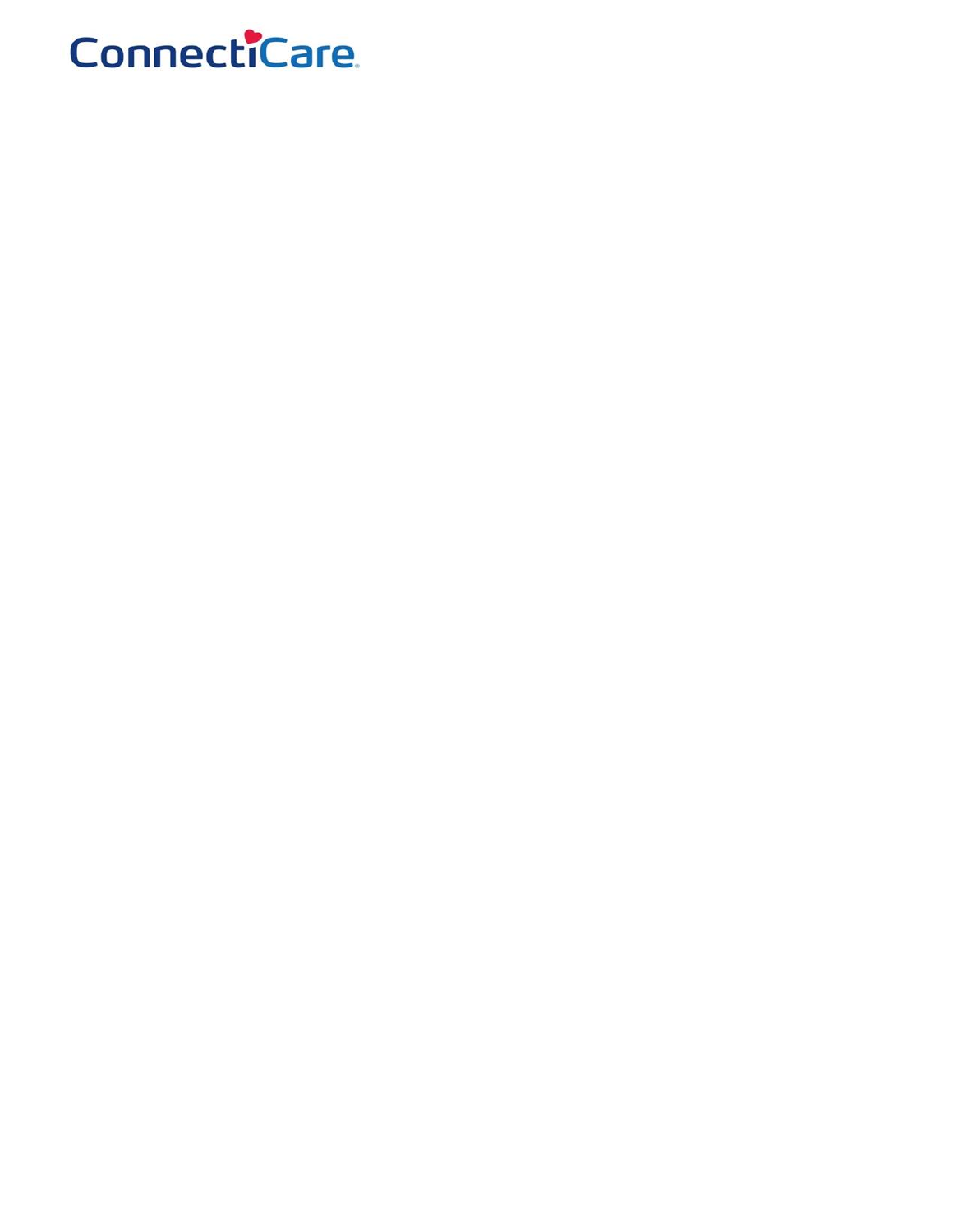# **ConnectiCare**